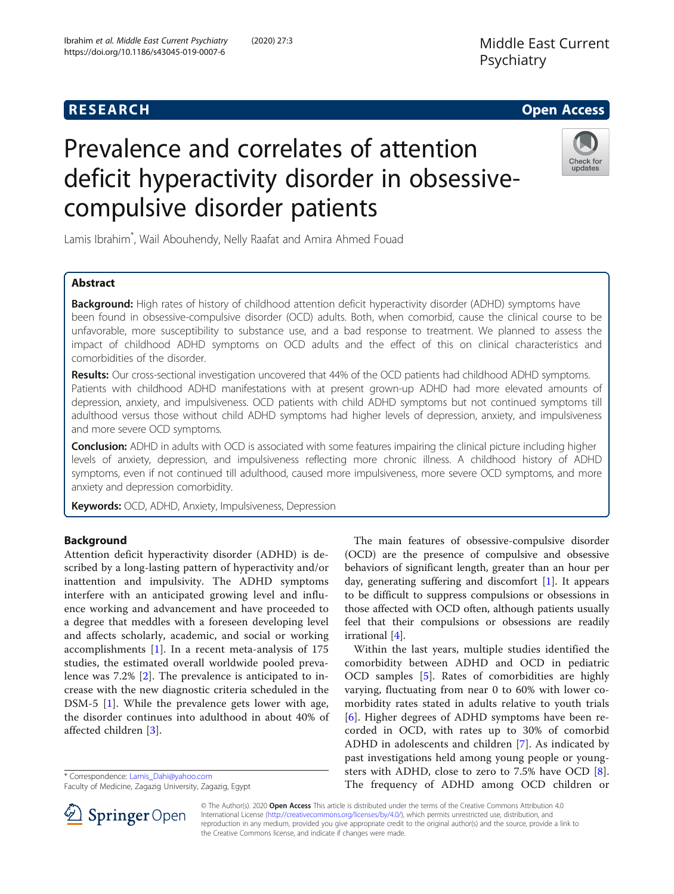

# Prevalence and correlates of attention deficit hyperactivity disorder in obsessivecompulsive disorder patients



Lamis Ibrahim\* , Wail Abouhendy, Nelly Raafat and Amira Ahmed Fouad

# Abstract

Background: High rates of history of childhood attention deficit hyperactivity disorder (ADHD) symptoms have been found in obsessive-compulsive disorder (OCD) adults. Both, when comorbid, cause the clinical course to be unfavorable, more susceptibility to substance use, and a bad response to treatment. We planned to assess the impact of childhood ADHD symptoms on OCD adults and the effect of this on clinical characteristics and comorbidities of the disorder.

Results: Our cross-sectional investigation uncovered that 44% of the OCD patients had childhood ADHD symptoms. Patients with childhood ADHD manifestations with at present grown-up ADHD had more elevated amounts of depression, anxiety, and impulsiveness. OCD patients with child ADHD symptoms but not continued symptoms till adulthood versus those without child ADHD symptoms had higher levels of depression, anxiety, and impulsiveness and more severe OCD symptoms.

**Conclusion:** ADHD in adults with OCD is associated with some features impairing the clinical picture including higher levels of anxiety, depression, and impulsiveness reflecting more chronic illness. A childhood history of ADHD symptoms, even if not continued till adulthood, caused more impulsiveness, more severe OCD symptoms, and more anxiety and depression comorbidity.

Keywords: OCD, ADHD, Anxiety, Impulsiveness, Depression

# Background

Attention deficit hyperactivity disorder (ADHD) is described by a long-lasting pattern of hyperactivity and/or inattention and impulsivity. The ADHD symptoms interfere with an anticipated growing level and influence working and advancement and have proceeded to a degree that meddles with a foreseen developing level and affects scholarly, academic, and social or working accomplishments [\[1](#page-6-0)]. In a recent meta-analysis of 175 studies, the estimated overall worldwide pooled prevalence was 7.2% [\[2](#page-6-0)]. The prevalence is anticipated to increase with the new diagnostic criteria scheduled in the DSM-5 [\[1](#page-6-0)]. While the prevalence gets lower with age, the disorder continues into adulthood in about 40% of affected children [\[3\]](#page-6-0).

\* Correspondence: [Lamis\\_Dahi@yahoo.com](mailto:Lamis_Dahi@yahoo.com)

Faculty of Medicine, Zagazig University, Zagazig, Egypt

The main features of obsessive-compulsive disorder (OCD) are the presence of compulsive and obsessive behaviors of significant length, greater than an hour per day, generating suffering and discomfort [\[1](#page-6-0)]. It appears to be difficult to suppress compulsions or obsessions in those affected with OCD often, although patients usually feel that their compulsions or obsessions are readily irrational [\[4](#page-6-0)].

Within the last years, multiple studies identified the comorbidity between ADHD and OCD in pediatric OCD samples [[5](#page-6-0)]. Rates of comorbidities are highly varying, fluctuating from near 0 to 60% with lower comorbidity rates stated in adults relative to youth trials [[6](#page-6-0)]. Higher degrees of ADHD symptoms have been recorded in OCD, with rates up to 30% of comorbid ADHD in adolescents and children [\[7](#page-6-0)]. As indicated by past investigations held among young people or youngsters with ADHD, close to zero to 7.5% have OCD [\[8](#page-6-0)]. The frequency of ADHD among OCD children or



© The Author(s). 2020 Open Access This article is distributed under the terms of the Creative Commons Attribution 4.0 International License ([http://creativecommons.org/licenses/by/4.0/\)](http://creativecommons.org/licenses/by/4.0/), which permits unrestricted use, distribution, and reproduction in any medium, provided you give appropriate credit to the original author(s) and the source, provide a link to the Creative Commons license, and indicate if changes were made.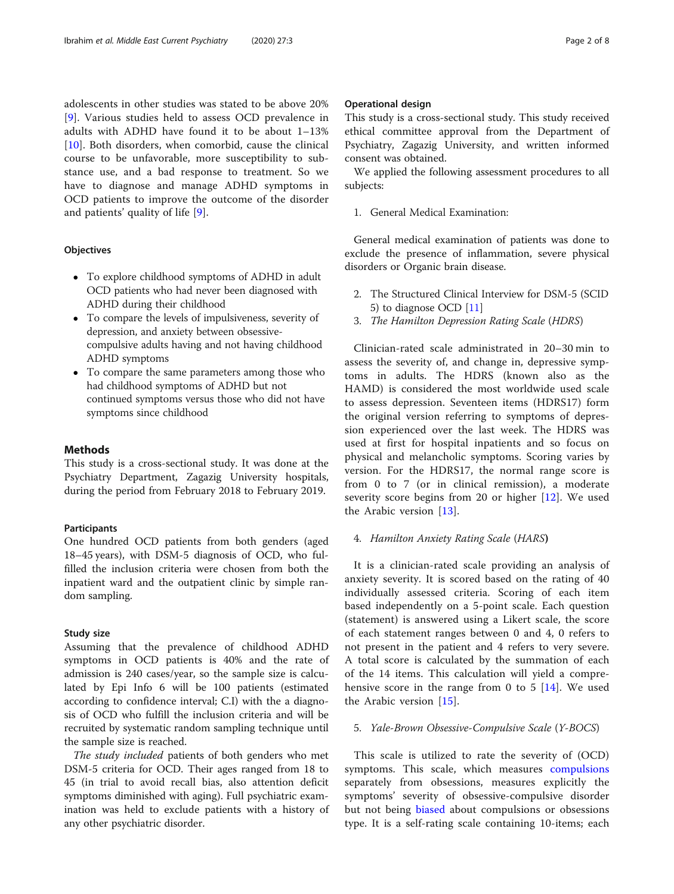adolescents in other studies was stated to be above 20% [[9\]](#page-6-0). Various studies held to assess OCD prevalence in adults with ADHD have found it to be about 1–13%  $[10]$  $[10]$ . Both disorders, when comorbid, cause the clinical course to be unfavorable, more susceptibility to substance use, and a bad response to treatment. So we have to diagnose and manage ADHD symptoms in OCD patients to improve the outcome of the disorder and patients' quality of life [[9\]](#page-6-0).

#### **Objectives**

- To explore childhood symptoms of ADHD in adult OCD patients who had never been diagnosed with ADHD during their childhood
- To compare the levels of impulsiveness, severity of depression, and anxiety between obsessivecompulsive adults having and not having childhood ADHD symptoms
- To compare the same parameters among those who had childhood symptoms of ADHD but not continued symptoms versus those who did not have symptoms since childhood

#### Methods

This study is a cross-sectional study. It was done at the Psychiatry Department, Zagazig University hospitals, during the period from February 2018 to February 2019.

#### Participants

One hundred OCD patients from both genders (aged 18–45 years), with DSM-5 diagnosis of OCD, who fulfilled the inclusion criteria were chosen from both the inpatient ward and the outpatient clinic by simple random sampling.

#### Study size

Assuming that the prevalence of childhood ADHD symptoms in OCD patients is 40% and the rate of admission is 240 cases/year, so the sample size is calculated by Epi Info 6 will be 100 patients (estimated according to confidence interval; C.I) with the a diagnosis of OCD who fulfill the inclusion criteria and will be recruited by systematic random sampling technique until the sample size is reached.

The study included patients of both genders who met DSM-5 criteria for OCD. Their ages ranged from 18 to 45 (in trial to avoid recall bias, also attention deficit symptoms diminished with aging). Full psychiatric examination was held to exclude patients with a history of any other psychiatric disorder.

# Operational design

This study is a cross-sectional study. This study received ethical committee approval from the Department of Psychiatry, Zagazig University, and written informed consent was obtained.

We applied the following assessment procedures to all subjects:

1. General Medical Examination:

General medical examination of patients was done to exclude the presence of inflammation, severe physical disorders or Organic brain disease.

- 2. The Structured Clinical Interview for DSM-5 (SCID 5) to diagnose OCD [\[11](#page-6-0)]
- 3. The Hamilton Depression Rating Scale (HDRS)

Clinician-rated scale administrated in 20–30 min to assess the severity of, and change in, depressive symptoms in adults. The HDRS (known also as the HAMD) is considered the most worldwide used scale to assess depression. Seventeen items (HDRS17) form the original version referring to symptoms of depression experienced over the last week. The HDRS was used at first for hospital inpatients and so focus on physical and melancholic symptoms. Scoring varies by version. For the HDRS17, the normal range score is from 0 to 7 (or in clinical remission), a moderate severity score begins from 20 or higher [[12\]](#page-6-0). We used the Arabic version [[13\]](#page-6-0).

#### 4. Hamilton Anxiety Rating Scale (HARS)

It is a clinician-rated scale providing an analysis of anxiety severity. It is scored based on the rating of 40 individually assessed criteria. Scoring of each item based independently on a 5-point scale. Each question (statement) is answered using a Likert scale, the score of each statement ranges between 0 and 4, 0 refers to not present in the patient and 4 refers to very severe. A total score is calculated by the summation of each of the 14 items. This calculation will yield a comprehensive score in the range from 0 to 5  $[14]$  $[14]$ . We used the Arabic version [[15\]](#page-6-0).

#### 5. Yale-Brown Obsessive-Compulsive Scale (Y-BOCS)

This scale is utilized to rate the severity of (OCD) symptoms. This scale, which measures [compulsions](https://en.wikipedia.org/wiki/Compulsive_behavior) separately from obsessions, measures explicitly the symptoms' severity of obsessive-compulsive disorder but not being [biased](https://en.wikipedia.org/wiki/Bias) about compulsions or obsessions type. It is a self-rating scale containing 10-items; each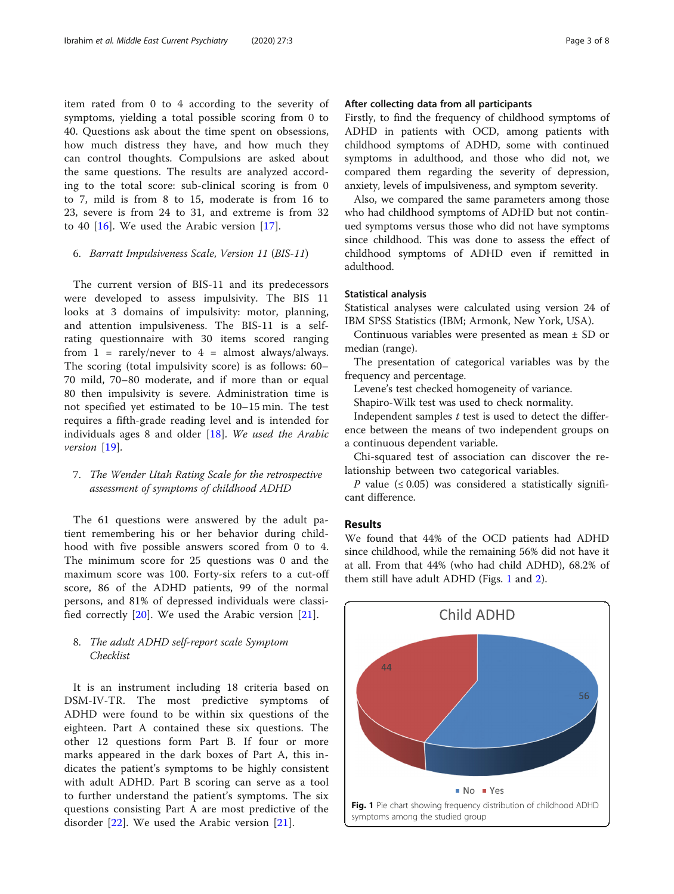item rated from 0 to 4 according to the severity of symptoms, yielding a total possible scoring from 0 to 40. Questions ask about the time spent on obsessions, how much distress they have, and how much they can control thoughts. Compulsions are asked about the same questions. The results are analyzed according to the total score: sub-clinical scoring is from 0 to 7, mild is from 8 to 15, moderate is from 16 to 23, severe is from 24 to 31, and extreme is from 32 to 40 [\[16](#page-6-0)]. We used the Arabic version [[17\]](#page-6-0).

# 6. Barratt Impulsiveness Scale, Version 11 (BIS-11)

The current version of BIS-11 and its predecessors were developed to assess impulsivity. The BIS 11 looks at 3 domains of impulsivity: motor, planning, and attention impulsiveness. The BIS-11 is a selfrating questionnaire with 30 items scored ranging from  $1$  = rarely/never to  $4$  = almost always/always. The scoring (total impulsivity score) is as follows: 60– 70 mild, 70–80 moderate, and if more than or equal 80 then impulsivity is severe. Administration time is not specified yet estimated to be 10–15 min. The test requires a fifth-grade reading level and is intended for individuals ages 8 and older  $[18]$  $[18]$ . We used the Arabic version [[19\]](#page-6-0).

# 7. The Wender Utah Rating Scale for the retrospective assessment of symptoms of childhood ADHD

The 61 questions were answered by the adult patient remembering his or her behavior during childhood with five possible answers scored from 0 to 4. The minimum score for 25 questions was 0 and the maximum score was 100. Forty-six refers to a cut-off score, 86 of the ADHD patients, 99 of the normal persons, and 81% of depressed individuals were classified correctly [[20\]](#page-6-0). We used the Arabic version [[21](#page-6-0)].

# 8. The adult ADHD self-report scale Symptom Checklist

It is an instrument including 18 criteria based on DSM-IV-TR. The most predictive symptoms of ADHD were found to be within six questions of the eighteen. Part A contained these six questions. The other 12 questions form Part B. If four or more marks appeared in the dark boxes of Part A, this indicates the patient's symptoms to be highly consistent with adult ADHD. Part B scoring can serve as a tool to further understand the patient's symptoms. The six questions consisting Part A are most predictive of the disorder [\[22](#page-6-0)]. We used the Arabic version [[21\]](#page-6-0).

# After collecting data from all participants

Firstly, to find the frequency of childhood symptoms of ADHD in patients with OCD, among patients with childhood symptoms of ADHD, some with continued symptoms in adulthood, and those who did not, we compared them regarding the severity of depression, anxiety, levels of impulsiveness, and symptom severity.

Also, we compared the same parameters among those who had childhood symptoms of ADHD but not continued symptoms versus those who did not have symptoms since childhood. This was done to assess the effect of childhood symptoms of ADHD even if remitted in adulthood.

#### Statistical analysis

Statistical analyses were calculated using version 24 of IBM SPSS Statistics (IBM; Armonk, New York, USA).

Continuous variables were presented as mean ± SD or median (range).

The presentation of categorical variables was by the frequency and percentage.

Levene's test checked homogeneity of variance.

Shapiro-Wilk test was used to check normality.

Independent samples  $t$  test is used to detect the difference between the means of two independent groups on a continuous dependent variable.

Chi-squared test of association can discover the relationship between two categorical variables.

P value (≤ 0.05) was considered a statistically significant difference.

# Results

We found that 44% of the OCD patients had ADHD since childhood, while the remaining 56% did not have it at all. From that 44% (who had child ADHD), 68.2% of them still have adult ADHD (Figs. 1 and [2](#page-3-0)).

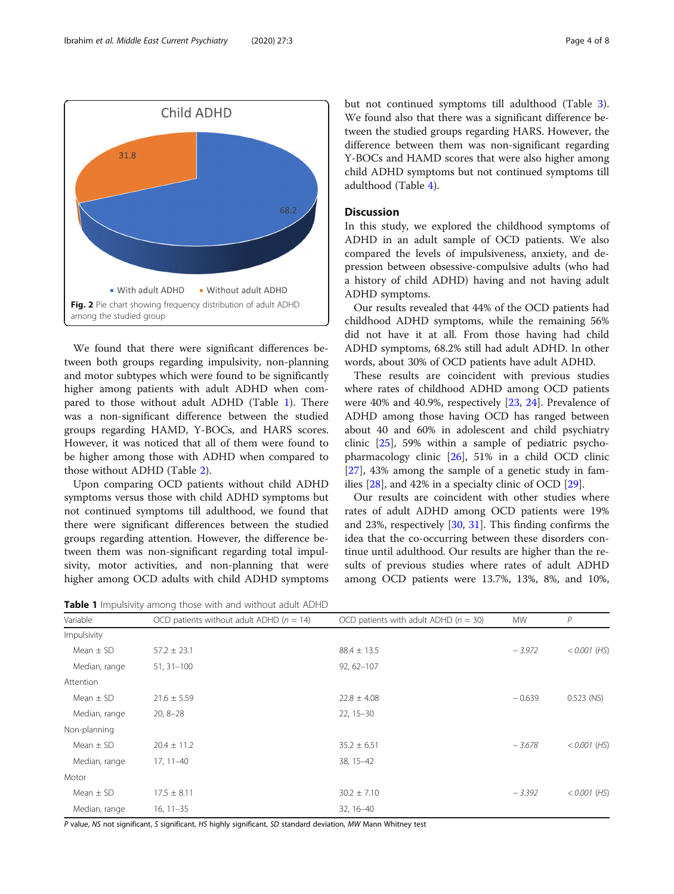<span id="page-3-0"></span>

We found that there were significant differences between both groups regarding impulsivity, non-planning and motor subtypes which were found to be significantly higher among patients with adult ADHD when compared to those without adult ADHD (Table 1). There was a non-significant difference between the studied groups regarding HAMD, Y-BOCs, and HARS scores. However, it was noticed that all of them were found to be higher among those with ADHD when compared to those without ADHD (Table [2\)](#page-4-0).

Upon comparing OCD patients without child ADHD symptoms versus those with child ADHD symptoms but not continued symptoms till adulthood, we found that there were significant differences between the studied groups regarding attention. However, the difference between them was non-significant regarding total impulsivity, motor activities, and non-planning that were higher among OCD adults with child ADHD symptoms

Table 1 Impulsivity among those with and without adult ADHD

but not continued symptoms till adulthood (Table [3](#page-4-0)). We found also that there was a significant difference between the studied groups regarding HARS. However, the difference between them was non-significant regarding Y-BOCs and HAMD scores that were also higher among child ADHD symptoms but not continued symptoms till adulthood (Table [4](#page-5-0)).

# **Discussion**

In this study, we explored the childhood symptoms of ADHD in an adult sample of OCD patients. We also compared the levels of impulsiveness, anxiety, and depression between obsessive-compulsive adults (who had a history of child ADHD) having and not having adult ADHD symptoms.

Our results revealed that 44% of the OCD patients had childhood ADHD symptoms, while the remaining 56% did not have it at all. From those having had child ADHD symptoms, 68.2% still had adult ADHD. In other words, about 30% of OCD patients have adult ADHD.

These results are coincident with previous studies where rates of childhood ADHD among OCD patients were 40% and 40.9%, respectively [\[23](#page-6-0), [24\]](#page-6-0). Prevalence of ADHD among those having OCD has ranged between about 40 and 60% in adolescent and child psychiatry clinic [\[25\]](#page-6-0), 59% within a sample of pediatric psychopharmacology clinic [\[26](#page-6-0)], 51% in a child OCD clinic [[27\]](#page-6-0), 43% among the sample of a genetic study in families [[28\]](#page-7-0), and 42% in a specialty clinic of OCD [[29\]](#page-7-0).

Our results are coincident with other studies where rates of adult ADHD among OCD patients were 19% and 23%, respectively [\[30,](#page-7-0) [31](#page-7-0)]. This finding confirms the idea that the co-occurring between these disorders continue until adulthood. Our results are higher than the results of previous studies where rates of adult ADHD among OCD patients were 13.7%, 13%, 8%, and 10%,

| Variable      | OCD patients without adult ADHD ( $n = 14$ ) | OCD patients with adult ADHD ( $n = 30$ ) | <b>MW</b> | $\mathcal{P}$  |
|---------------|----------------------------------------------|-------------------------------------------|-----------|----------------|
| Impulsivity   |                                              |                                           |           |                |
| Mean $\pm$ SD | $57.2 \pm 23.1$                              | $88.4 \pm 13.5$                           | $-3.972$  | $< 0.001$ (HS) |
| Median, range | $51, 31 - 100$                               | $92,62-107$                               |           |                |
| Attention     |                                              |                                           |           |                |
| Mean $\pm$ SD | $21.6 \pm 5.59$                              | $22.8 \pm 4.08$                           | $-0.639$  | $0.523$ (NS)   |
| Median, range | $20, 8 - 28$                                 | $22, 15 - 30$                             |           |                |
| Non-planning  |                                              |                                           |           |                |
| Mean $\pm$ SD | $20.4 \pm 11.2$                              | $35.2 \pm 6.51$                           | $-3.678$  | $< 0.001$ (HS) |
| Median, range | $17, 11 - 40$                                | 38, 15-42                                 |           |                |
| Motor         |                                              |                                           |           |                |
| Mean $\pm$ SD | $17.5 \pm 8.11$                              | $30.2 \pm 7.10$                           | $-3.392$  | $< 0.001$ (HS) |
| Median, range | $16, 11 - 35$                                | 32, 16-40                                 |           |                |

P value, NS not significant, S significant, HS highly significant, SD standard deviation, MW Mann Whitney test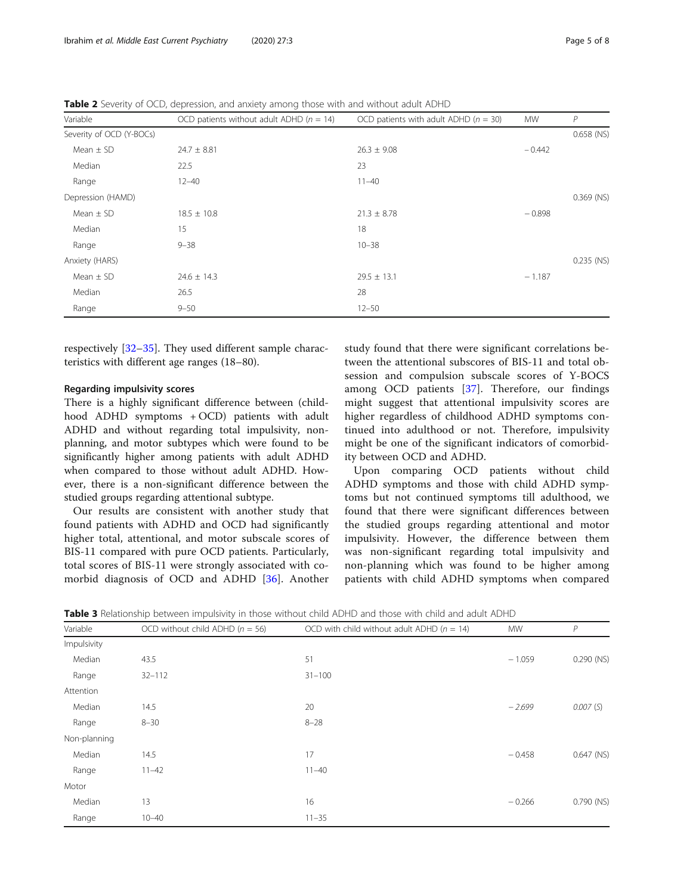<span id="page-4-0"></span>

| Table 2 Severity of OCD, depression, and anxiety among those with and without adult ADHD |  |
|------------------------------------------------------------------------------------------|--|
|------------------------------------------------------------------------------------------|--|

| Variable                 | OCD patients without adult ADHD ( $n = 14$ ) | OCD patients with adult ADHD ( $n = 30$ ) | <b>MW</b> | P            |
|--------------------------|----------------------------------------------|-------------------------------------------|-----------|--------------|
| Severity of OCD (Y-BOCs) |                                              |                                           |           | $0.658$ (NS) |
| Mean $\pm$ SD            | $24.7 \pm 8.81$                              | $26.3 \pm 9.08$                           | $-0.442$  |              |
| Median                   | 22.5                                         | 23                                        |           |              |
| Range                    | $12 - 40$                                    | $11 - 40$                                 |           |              |
| Depression (HAMD)        |                                              |                                           |           | $0.369$ (NS) |
| Mean $\pm$ SD            | $18.5 \pm 10.8$                              | $21.3 \pm 8.78$                           | $-0.898$  |              |
| Median                   | 15                                           | 18                                        |           |              |
| Range                    | $9 - 38$                                     | $10 - 38$                                 |           |              |
| Anxiety (HARS)           |                                              |                                           |           | $0.235$ (NS) |
| Mean $\pm$ SD            | $24.6 \pm 14.3$                              | $29.5 \pm 13.1$                           | $-1.187$  |              |
| Median                   | 26.5                                         | 28                                        |           |              |
| Range                    | $9 - 50$                                     | $12 - 50$                                 |           |              |

respectively [[32](#page-7-0)–[35](#page-7-0)]. They used different sample characteristics with different age ranges (18–80).

## Regarding impulsivity scores

There is a highly significant difference between (childhood ADHD symptoms + OCD) patients with adult ADHD and without regarding total impulsivity, nonplanning, and motor subtypes which were found to be significantly higher among patients with adult ADHD when compared to those without adult ADHD. However, there is a non-significant difference between the studied groups regarding attentional subtype.

Our results are consistent with another study that found patients with ADHD and OCD had significantly higher total, attentional, and motor subscale scores of BIS-11 compared with pure OCD patients. Particularly, total scores of BIS-11 were strongly associated with comorbid diagnosis of OCD and ADHD [\[36](#page-7-0)]. Another

study found that there were significant correlations between the attentional subscores of BIS-11 and total obsession and compulsion subscale scores of Y-BOCS among OCD patients [\[37](#page-7-0)]. Therefore, our findings might suggest that attentional impulsivity scores are higher regardless of childhood ADHD symptoms continued into adulthood or not. Therefore, impulsivity might be one of the significant indicators of comorbidity between OCD and ADHD.

Upon comparing OCD patients without child ADHD symptoms and those with child ADHD symptoms but not continued symptoms till adulthood, we found that there were significant differences between the studied groups regarding attentional and motor impulsivity. However, the difference between them was non-significant regarding total impulsivity and non-planning which was found to be higher among patients with child ADHD symptoms when compared

|  |  | <b>Table 3</b> Relationship between impulsivity in those without child ADHD and those with child and adult ADHD |  |  |  |  |  |  |  |
|--|--|-----------------------------------------------------------------------------------------------------------------|--|--|--|--|--|--|--|
|--|--|-----------------------------------------------------------------------------------------------------------------|--|--|--|--|--|--|--|

| Variable     | OCD without child ADHD ( $n = 56$ ) | OCD with child without adult ADHD ( $n = 14$ ) | <b>MW</b> | $\overline{P}$ |
|--------------|-------------------------------------|------------------------------------------------|-----------|----------------|
| Impulsivity  |                                     |                                                |           |                |
| Median       | 43.5                                | 51                                             | $-1.059$  | $0.290$ (NS)   |
| Range        | $32 - 112$                          | $31 - 100$                                     |           |                |
| Attention    |                                     |                                                |           |                |
| Median       | 14.5                                | 20                                             | $-2.699$  | 0.007(S)       |
| Range        | $8 - 30$                            | $8 - 28$                                       |           |                |
| Non-planning |                                     |                                                |           |                |
| Median       | 14.5                                | 17                                             | $-0.458$  | $0.647$ (NS)   |
| Range        | $11 - 42$                           | $11 - 40$                                      |           |                |
| Motor        |                                     |                                                |           |                |
| Median       | 13                                  | 16                                             | $-0.266$  | $0.790$ (NS)   |
| Range        | $10 - 40$                           | $11 - 35$                                      |           |                |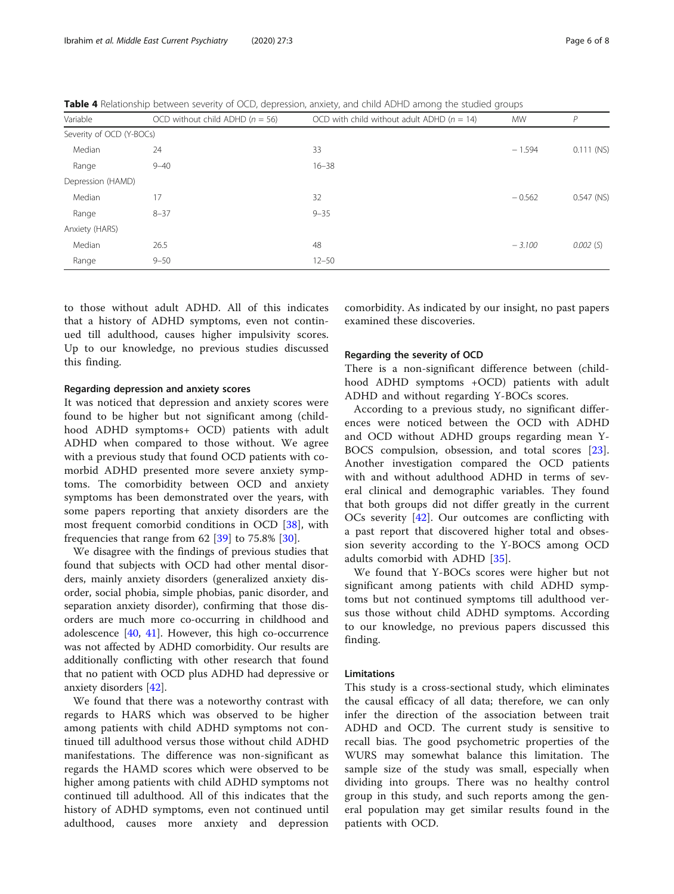<span id="page-5-0"></span>Table 4 Relationship between severity of OCD, depression, anxiety, and child ADHD among the studied groups

| Variable                 | OCD without child ADHD ( $n = 56$ ) | OCD with child without adult ADHD ( $n = 14$ ) | <b>MW</b> | P            |
|--------------------------|-------------------------------------|------------------------------------------------|-----------|--------------|
| Severity of OCD (Y-BOCs) |                                     |                                                |           |              |
| Median                   | 24                                  | 33                                             | $-1.594$  | $0.111$ (NS) |
| Range                    | $9 - 40$                            | $16 - 38$                                      |           |              |
| Depression (HAMD)        |                                     |                                                |           |              |
| Median                   | 17                                  | 32                                             | $-0.562$  | $0.547$ (NS) |
| Range                    | $8 - 37$                            | $9 - 35$                                       |           |              |
| Anxiety (HARS)           |                                     |                                                |           |              |
| Median                   | 26.5                                | 48                                             | $-3.100$  | $0.002$ (S)  |
| Range                    | $9 - 50$                            | $12 - 50$                                      |           |              |

to those without adult ADHD. All of this indicates that a history of ADHD symptoms, even not continued till adulthood, causes higher impulsivity scores. Up to our knowledge, no previous studies discussed this finding.

## Regarding depression and anxiety scores

It was noticed that depression and anxiety scores were found to be higher but not significant among (childhood ADHD symptoms+ OCD) patients with adult ADHD when compared to those without. We agree with a previous study that found OCD patients with comorbid ADHD presented more severe anxiety symptoms. The comorbidity between OCD and anxiety symptoms has been demonstrated over the years, with some papers reporting that anxiety disorders are the most frequent comorbid conditions in OCD [[38\]](#page-7-0), with frequencies that range from  $62$  [ $39$ ] to 75.8% [ $30$ ].

We disagree with the findings of previous studies that found that subjects with OCD had other mental disorders, mainly anxiety disorders (generalized anxiety disorder, social phobia, simple phobias, panic disorder, and separation anxiety disorder), confirming that those disorders are much more co-occurring in childhood and adolescence [[40](#page-7-0), [41\]](#page-7-0). However, this high co-occurrence was not affected by ADHD comorbidity. Our results are additionally conflicting with other research that found that no patient with OCD plus ADHD had depressive or anxiety disorders [\[42](#page-7-0)].

We found that there was a noteworthy contrast with regards to HARS which was observed to be higher among patients with child ADHD symptoms not continued till adulthood versus those without child ADHD manifestations. The difference was non-significant as regards the HAMD scores which were observed to be higher among patients with child ADHD symptoms not continued till adulthood. All of this indicates that the history of ADHD symptoms, even not continued until adulthood, causes more anxiety and depression comorbidity. As indicated by our insight, no past papers examined these discoveries.

#### Regarding the severity of OCD

There is a non-significant difference between (childhood ADHD symptoms +OCD) patients with adult ADHD and without regarding Y-BOCs scores.

According to a previous study, no significant differences were noticed between the OCD with ADHD and OCD without ADHD groups regarding mean Y-BOCS compulsion, obsession, and total scores [\[23](#page-6-0)]. Another investigation compared the OCD patients with and without adulthood ADHD in terms of several clinical and demographic variables. They found that both groups did not differ greatly in the current OCs severity [\[42](#page-7-0)]. Our outcomes are conflicting with a past report that discovered higher total and obsession severity according to the Y-BOCS among OCD adults comorbid with ADHD [\[35](#page-7-0)].

We found that Y-BOCs scores were higher but not significant among patients with child ADHD symptoms but not continued symptoms till adulthood versus those without child ADHD symptoms. According to our knowledge, no previous papers discussed this finding.

# Limitations

This study is a cross-sectional study, which eliminates the causal efficacy of all data; therefore, we can only infer the direction of the association between trait ADHD and OCD. The current study is sensitive to recall bias. The good psychometric properties of the WURS may somewhat balance this limitation. The sample size of the study was small, especially when dividing into groups. There was no healthy control group in this study, and such reports among the general population may get similar results found in the patients with OCD.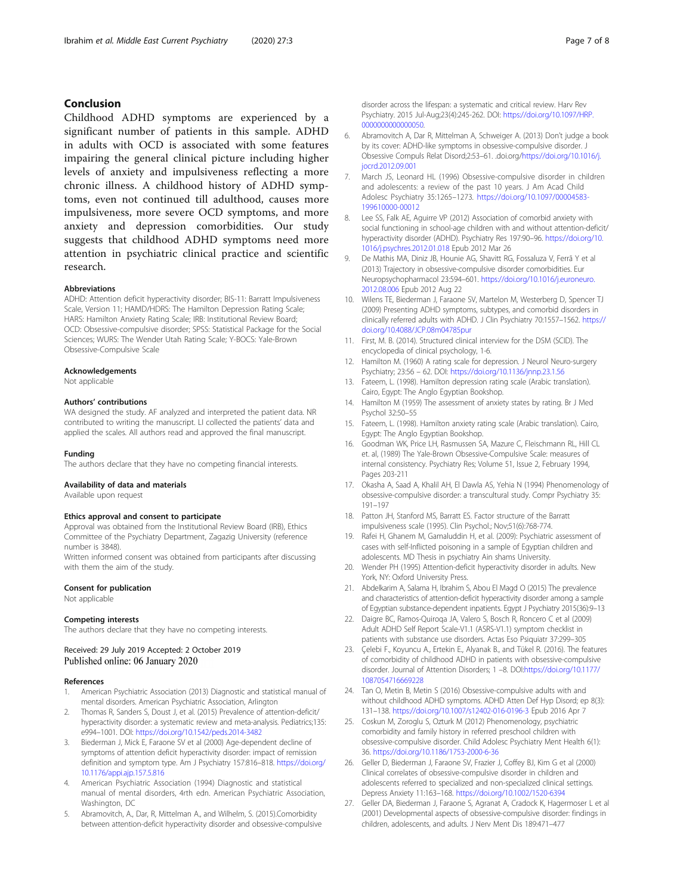# <span id="page-6-0"></span>Conclusion

Childhood ADHD symptoms are experienced by a significant number of patients in this sample. ADHD in adults with OCD is associated with some features impairing the general clinical picture including higher levels of anxiety and impulsiveness reflecting a more chronic illness. A childhood history of ADHD symptoms, even not continued till adulthood, causes more impulsiveness, more severe OCD symptoms, and more anxiety and depression comorbidities. Our study suggests that childhood ADHD symptoms need more attention in psychiatric clinical practice and scientific research.

#### Abbreviations

ADHD: Attention deficit hyperactivity disorder; BIS-11: Barratt Impulsiveness Scale, Version 11; HAMD/HDRS: The Hamilton Depression Rating Scale; HARS: Hamilton Anxiety Rating Scale; IRB: Institutional Review Board; OCD: Obsessive-compulsive disorder; SPSS: Statistical Package for the Social Sciences; WURS: The Wender Utah Rating Scale; Y-BOCS: Yale-Brown Obsessive-Compulsive Scale

#### Acknowledgements

Not applicable

#### Authors' contributions

WA designed the study. AF analyzed and interpreted the patient data. NR contributed to writing the manuscript. LI collected the patients' data and applied the scales. All authors read and approved the final manuscript.

#### Funding

The authors declare that they have no competing financial interests.

#### Availability of data and materials

Available upon request

#### Ethics approval and consent to participate

Approval was obtained from the Institutional Review Board (IRB), Ethics Committee of the Psychiatry Department, Zagazig University (reference number is 3848).

Written informed consent was obtained from participants after discussing with them the aim of the study.

#### Consent for publication

Not applicable

#### Competing interests

The authors declare that they have no competing interests.

# Received: 29 July 2019 Accepted: 2 October 2019 Published online: 06 January 2020

#### References

- 1. American Psychiatric Association (2013) Diagnostic and statistical manual of mental disorders. American Psychiatric Association, Arlington
- 2. Thomas R, Sanders S, Doust J, et al. (2015) Prevalence of attention-deficit/ hyperactivity disorder: a systematic review and meta-analysis. Pediatrics;135: e994–1001. DOI: <https://doi.org/10.1542/peds.2014-3482>
- 3. Biederman J, Mick E, Faraone SV et al (2000) Age-dependent decline of symptoms of attention deficit hyperactivity disorder: impact of remission definition and symptom type. Am J Psychiatry 157:816–818. [https://doi.org/](https://doi.org/10.1176/appi.ajp.157.5.816) [10.1176/appi.ajp.157.5.816](https://doi.org/10.1176/appi.ajp.157.5.816)
- 4. American Psychiatric Association (1994) Diagnostic and statistical manual of mental disorders, 4rth edn. American Psychiatric Association, Washington, DC
- 5. Abramovitch, A., Dar, R, Mittelman A., and Wilhelm, S. (2015).Comorbidity between attention-deficit hyperactivity disorder and obsessive-compulsive

disorder across the lifespan: a systematic and critical review. Harv Rev Psychiatry. 2015 Jul-Aug;23(4):245-262. DOI: [https://doi.org/10.1097/HRP.](https://doi.org/10.1097/HRP.0000000000000050) [0000000000000050](https://doi.org/10.1097/HRP.0000000000000050).

- 6. Abramovitch A, Dar R, Mittelman A, Schweiger A. (2013) Don't judge a book by its cover: ADHD-like symptoms in obsessive-compulsive disorder. J Obsessive Compuls Relat Disord;2:53–61. .doi.org[/https://doi.org/10.1016/j.](https://doi.org/10.1016/j.jocrd.2012.09.001) [jocrd.2012.09.001](https://doi.org/10.1016/j.jocrd.2012.09.001)
- 7. March JS, Leonard HL (1996) Obsessive-compulsive disorder in children and adolescents: a review of the past 10 years. J Am Acad Child Adolesc Psychiatry 35:1265–1273. [https://doi.org/10.1097/00004583-](https://doi.org/10.1097/00004583-199610000-00012) [199610000-00012](https://doi.org/10.1097/00004583-199610000-00012)
- Lee SS, Falk AE, Aguirre VP (2012) Association of comorbid anxiety with social functioning in school-age children with and without attention-deficit/ hyperactivity disorder (ADHD). Psychiatry Res 197:90–96. [https://doi.org/10.](https://doi.org/10.1016/j.psychres.2012.01.018) [1016/j.psychres.2012.01.018](https://doi.org/10.1016/j.psychres.2012.01.018) Epub 2012 Mar 26
- 9. De Mathis MA, Diniz JB, Hounie AG, Shavitt RG, Fossaluza V, Ferrã Y et al (2013) Trajectory in obsessive-compulsive disorder comorbidities. Eur Neuropsychopharmacol 23:594–601. [https://doi.org/10.1016/j.euroneuro.](https://doi.org/10.1016/j.euroneuro.2012.08.006) [2012.08.006](https://doi.org/10.1016/j.euroneuro.2012.08.006) Epub 2012 Aug 22
- 10. Wilens TE, Biederman J, Faraone SV, Martelon M, Westerberg D, Spencer TJ (2009) Presenting ADHD symptoms, subtypes, and comorbid disorders in clinically referred adults with ADHD. J Clin Psychiatry 70:1557–1562. [https://](https://doi.org/10.4088/JCP.08m04785pur) [doi.org/10.4088/JCP.08m04785pur](https://doi.org/10.4088/JCP.08m04785pur)
- 11. First, M. B. (2014). Structured clinical interview for the DSM (SCID). The encyclopedia of clinical psychology, 1-6.
- 12. Hamilton M. (1960) A rating scale for depression. J Neurol Neuro-surgery Psychiatry; 23:56 – 62. DOI: <https://doi.org/10.1136/jnnp.23.1.56>
- 13. Fateem, L. (1998). Hamilton depression rating scale (Arabic translation). Cairo, Egypt: The Anglo Egyptian Bookshop.
- 14. Hamilton M (1959) The assessment of anxiety states by rating. Br J Med Psychol 32:50–55
- 15. Fateem, L. (1998). Hamilton anxiety rating scale (Arabic translation). Cairo, Egypt: The Anglo Egyptian Bookshop.
- 16. Goodman WK, Price LH, Rasmussen SA, Mazure C, Fleischmann RL, Hill CL et. al, (1989) The Yale-Brown Obsessive-Compulsive Scale: measures of internal consistency. Psychiatry Res; Volume 51, Issue 2, February 1994, Pages 203-211
- 17. Okasha A, Saad A, Khalil AH, El Dawla AS, Yehia N (1994) Phenomenology of obsessive-compulsive disorder: a transcultural study. Compr Psychiatry 35: 191–197
- 18. Patton JH, Stanford MS, Barratt ES. Factor structure of the Barratt impulsiveness scale (1995). Clin Psychol.; Nov;51(6):768-774.
- 19. Rafei H, Ghanem M, Gamaluddin H, et al. (2009): Psychiatric assessment of cases with self-Inflicted poisoning in a sample of Egyptian children and adolescents. MD Thesis in psychiatry Ain shams University.
- 20. Wender PH (1995) Attention-deficit hyperactivity disorder in adults. New York, NY: Oxford University Press.
- 21. Abdelkarim A, Salama H, Ibrahim S, Abou El Magd O (2015) The prevalence and characteristics of attention-deficit hyperactivity disorder among a sample of Egyptian substance-dependent inpatients. Egypt J Psychiatry 2015(36):9–13
- 22. Daigre BC, Ramos-Quiroqa JA, Valero S, Bosch R, Roncero C et al (2009) Adult ADHD Self Report Scale-V1.1 (ASRS-V1.1) symptom checklist in patients with substance use disorders. Actas Eso Psiquiatr 37:299–305
- 23. Çelebi F., Koyuncu A., Ertekin E., Alyanak B., and Tükel R. (2016). The features of comorbidity of childhood ADHD in patients with obsessive-compulsive disorder. Journal of Attention Disorders; 1 –8. DOI[:https://doi.org/10.1177/](https://doi.org/10.1177/1087054716669228) [1087054716669228](https://doi.org/10.1177/1087054716669228)
- 24. Tan O, Metin B, Metin S (2016) Obsessive-compulsive adults with and without childhood ADHD symptoms. ADHD Atten Def Hyp Disord; ep 8(3): 131–138. <https://doi.org/10.1007/s12402-016-0196-3> Epub 2016 Apr 7
- 25. Coskun M, Zoroglu S, Ozturk M (2012) Phenomenology, psychiatric comorbidity and family history in referred preschool children with obsessive-compulsive disorder. Child Adolesc Psychiatry Ment Health 6(1): 36. <https://doi.org/10.1186/1753-2000-6-36>
- 26. Geller D, Biederman J, Faraone SV, Frazier J, Coffey BJ, Kim G et al (2000) Clinical correlates of obsessive-compulsive disorder in children and adolescents referred to specialized and non-specialized clinical settings. Depress Anxiety 11:163–168. <https://doi.org/10.1002/1520-6394>
- 27. Geller DA, Biederman J, Faraone S, Agranat A, Cradock K, Hagermoser L et al (2001) Developmental aspects of obsessive-compulsive disorder: findings in children, adolescents, and adults. J Nerv Ment Dis 189:471–477